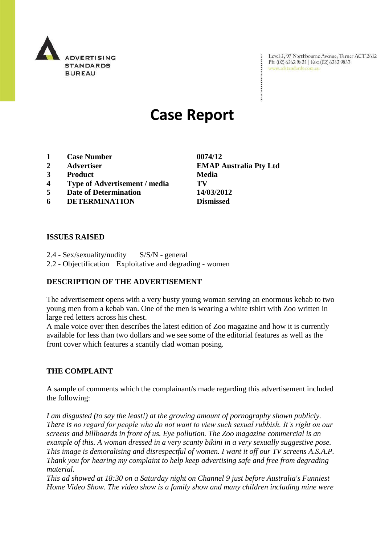

Level 2, 97 Northbourne Avenue, Turner ACT 2612 Ph: (02) 6262 9822 | Fax: (02) 6262 9833 www.adstandards.com.au

 $\ddot{\cdot}$ 

# **Case Report**

- **1 Case Number 0074/12**
- **2 Advertiser EMAP Australia Pty Ltd**
- **3 Product Media**
- **4 Type of Advertisement / media TV**
- **5 Date of Determination 14/03/2012**
- **6 DETERMINATION Dismissed**

**ISSUES RAISED**

2.4 - Sex/sexuality/nudity S/S/N - general 2.2 - Objectification Exploitative and degrading - women

### **DESCRIPTION OF THE ADVERTISEMENT**

The advertisement opens with a very busty young woman serving an enormous kebab to two young men from a kebab van. One of the men is wearing a white tshirt with Zoo written in large red letters across his chest.

A male voice over then describes the latest edition of Zoo magazine and how it is currently available for less than two dollars and we see some of the editorial features as well as the front cover which features a scantily clad woman posing.

### **THE COMPLAINT**

A sample of comments which the complainant/s made regarding this advertisement included the following:

*I am disgusted (to say the least!) at the growing amount of pornography shown publicly. There is no regard for people who do not want to view such sexual rubbish. It's right on our screens and billboards in front of us. Eye pollution. The Zoo magazine commercial is an example of this. A woman dressed in a very scanty bikini in a very sexually suggestive pose. This image is demoralising and disrespectful of women. I want it off our TV screens A.S.A.P. Thank you for hearing my complaint to help keep advertising safe and free from degrading material.*

*This ad showed at 18:30 on a Saturday night on Channel 9 just before Australia's Funniest Home Video Show. The video show is a family show and many children including mine were*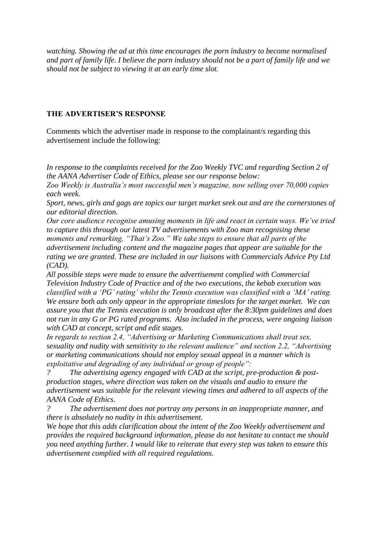*watching. Showing the ad at this time encourages the porn industry to become normalised and part of family life. I believe the porn industry should not be a part of family life and we should not be subject to viewing it at an early time slot.*

#### **THE ADVERTISER'S RESPONSE**

Comments which the advertiser made in response to the complainant/s regarding this advertisement include the following:

*In response to the complaints received for the Zoo Weekly TVC and regarding Section 2 of the AANA Advertiser Code of Ethics, please see our response below:* 

*Zoo Weekly is Australia"s most successful men"s magazine, now selling over 70,000 copies each week.* 

*Sport, news, girls and gags are topics our target market seek out and are the cornerstones of our editorial direction.* 

*Our core audience recognise amusing moments in life and react in certain ways. We"ve tried to capture this through our latest TV advertisements with Zoo man recognising these moments and remarking, "That"s Zoo." We take steps to ensure that all parts of the advertisement including content and the magazine pages that appear are suitable for the rating we are granted. These are included in our liaisons with Commercials Advice Pty Ltd (CAD).*

*All possible steps were made to ensure the advertisement complied with Commercial Television Industry Code of Practice and of the two executions, the kebab execution was classified with a "PG" rating" whilst the Tennis execution was classified with a "MA" rating. We ensure both ads only appear in the appropriate timeslots for the target market. We can assure you that the Tennis execution is only broadcast after the 8:30pm guidelines and does not run in any G or PG rated programs. Also included in the process, were ongoing liaison with CAD at concept, script and edit stages.* 

*In regards to section 2.4, "Advertising or Marketing Communications shall treat sex, sexuality and nudity with sensitivity to the relevant audience" and section 2.2, "Advertising or marketing communications should not employ sexual appeal in a manner which is exploitative and degrading of any individual or group of people":*

*? The advertising agency engaged with CAD at the script, pre-production & postproduction stages, where direction was taken on the visuals and audio to ensure the advertisement was suitable for the relevant viewing times and adhered to all aspects of the AANA Code of Ethics.*

*? The advertisement does not portray any persons in an inappropriate manner, and there is absolutely no nudity in this advertisement.*

*We hope that this adds clarification about the intent of the Zoo Weekly advertisement and provides the required background information, please do not hesitate to contact me should you need anything further. I would like to reiterate that every step was taken to ensure this advertisement complied with all required regulations.*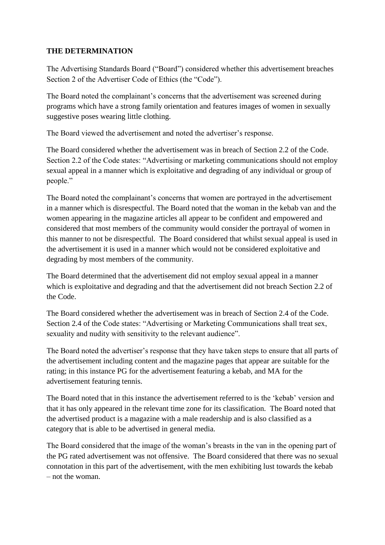## **THE DETERMINATION**

The Advertising Standards Board ("Board") considered whether this advertisement breaches Section 2 of the Advertiser Code of Ethics (the "Code").

The Board noted the complainant's concerns that the advertisement was screened during programs which have a strong family orientation and features images of women in sexually suggestive poses wearing little clothing.

The Board viewed the advertisement and noted the advertiser"s response.

The Board considered whether the advertisement was in breach of Section 2.2 of the Code. Section 2.2 of the Code states: "Advertising or marketing communications should not employ sexual appeal in a manner which is exploitative and degrading of any individual or group of people."

The Board noted the complainant"s concerns that women are portrayed in the advertisement in a manner which is disrespectful. The Board noted that the woman in the kebab van and the women appearing in the magazine articles all appear to be confident and empowered and considered that most members of the community would consider the portrayal of women in this manner to not be disrespectful. The Board considered that whilst sexual appeal is used in the advertisement it is used in a manner which would not be considered exploitative and degrading by most members of the community.

The Board determined that the advertisement did not employ sexual appeal in a manner which is exploitative and degrading and that the advertisement did not breach Section 2.2 of the Code.

The Board considered whether the advertisement was in breach of Section 2.4 of the Code. Section 2.4 of the Code states: "Advertising or Marketing Communications shall treat sex, sexuality and nudity with sensitivity to the relevant audience".

The Board noted the advertiser"s response that they have taken steps to ensure that all parts of the advertisement including content and the magazine pages that appear are suitable for the rating; in this instance PG for the advertisement featuring a kebab, and MA for the advertisement featuring tennis.

The Board noted that in this instance the advertisement referred to is the "kebab" version and that it has only appeared in the relevant time zone for its classification. The Board noted that the advertised product is a magazine with a male readership and is also classified as a category that is able to be advertised in general media.

The Board considered that the image of the woman"s breasts in the van in the opening part of the PG rated advertisement was not offensive. The Board considered that there was no sexual connotation in this part of the advertisement, with the men exhibiting lust towards the kebab – not the woman.